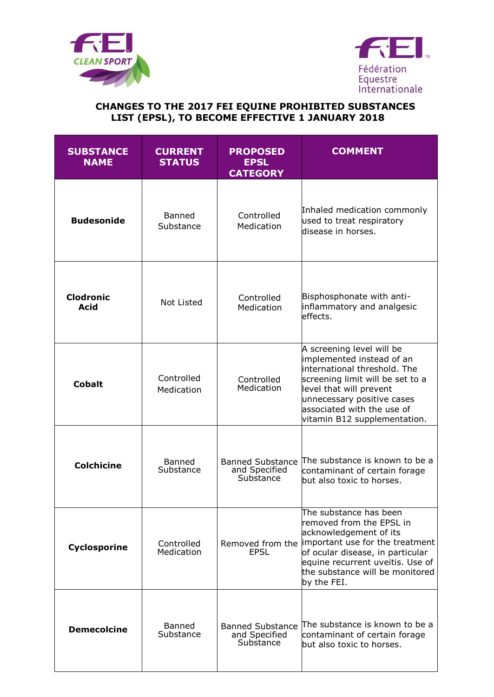



## **CHANGES TO THE 2017 FEI EQUINE PROHIBITED SUBSTANCES LIST (EPSL), TO BECOME EFFECTIVE 1 JANUARY 2018**

| <b>SUBSTANCE</b><br><b>NAME</b> | <b>CURRENT</b><br><b>STATUS</b> | <b>PROPOSED</b><br><b>EPSL</b><br><b>CATEGORY</b>     | <b>COMMENT</b>                                                                                                                                                                                                                                              |
|---------------------------------|---------------------------------|-------------------------------------------------------|-------------------------------------------------------------------------------------------------------------------------------------------------------------------------------------------------------------------------------------------------------------|
| <b>Budesonide</b>               | <b>Banned</b><br>Substance      | Controlled<br>Medication                              | Inhaled medication commonly<br>used to treat respiratory<br>disease in horses.                                                                                                                                                                              |
| <b>Clodronic</b><br>Acid        | Not Listed                      | Controlled<br>Medication                              | Bisphosphonate with anti-<br>inflammatory and analgesic<br>effects.                                                                                                                                                                                         |
| <b>Cobalt</b>                   | Controlled<br>Medication        | Controlled<br>Medication                              | A screening level will be<br>implemented instead of an<br>international threshold. The<br>screening limit will be set to a<br>level that will prevent<br>unnecessary positive cases<br>associated with the use of<br>vitamin B12 supplementation.           |
| <b>Colchicine</b>               | Banned<br>Substance             | <b>Banned Substance</b><br>and Specified<br>Substance | The substance is known to be a<br>contaminant of certain forage<br>but also toxic to horses.                                                                                                                                                                |
| Cyclosporine                    | Controlled<br>Medication        | <b>EPSL</b>                                           | The substance has been<br>removed from the EPSL in<br>acknowledgement of its<br>Removed from the limportant use for the treatment<br>of ocular disease, in particular<br>equine recurrent uveitis. Use of<br>the substance will be monitored<br>by the FEI. |
| <b>Demecolcine</b>              | Banned<br>Substance             | <b>Banned Substance</b><br>and Specified<br>Substance | The substance is known to be a<br>contaminant of certain forage<br>but also toxic to horses.                                                                                                                                                                |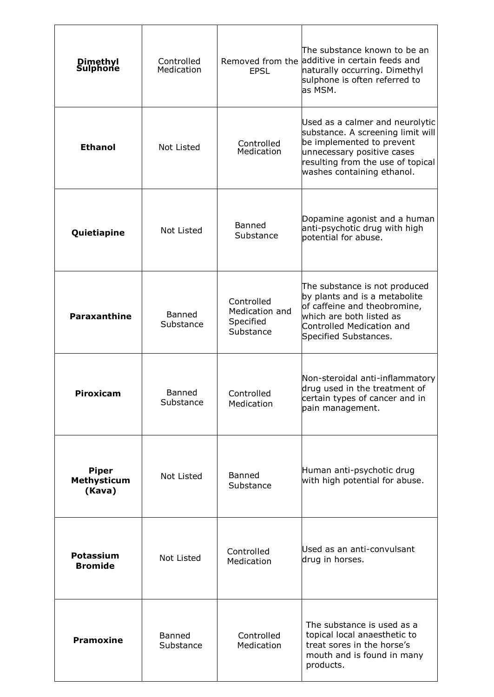| <b>Dimethyl</b><br>Sulphone                  | Controlled<br>Medication   | <b>EPSL</b>                                            | The substance known to be an<br>Removed from the additive in certain feeds and<br>naturally occurring. Dimethyl<br>sulphone is often referred to<br>las MSM.                                       |
|----------------------------------------------|----------------------------|--------------------------------------------------------|----------------------------------------------------------------------------------------------------------------------------------------------------------------------------------------------------|
| <b>Ethanol</b>                               | Not Listed                 | Controlled<br>Medication                               | Used as a calmer and neurolytic<br>substance. A screening limit will<br>be implemented to prevent<br>unnecessary positive cases<br>resulting from the use of topical<br>washes containing ethanol. |
| Quietiapine                                  | Not Listed                 | <b>Banned</b><br>Substance                             | Dopamine agonist and a human<br>anti-psychotic drug with high<br>potential for abuse.                                                                                                              |
| <b>Paraxanthine</b>                          | <b>Banned</b><br>Substance | Controlled<br>Medication and<br>Specified<br>Substance | The substance is not produced<br>by plants and is a metabolite<br>of caffeine and theobromine,<br>which are both listed as<br>Controlled Medication and<br>Specified Substances.                   |
| <b>Piroxicam</b>                             | Banned<br>Substance        | Controlled<br>Medication                               | Non-steroidal anti-inflammatory<br>drug used in the treatment of<br>certain types of cancer and in<br>pain management.                                                                             |
| <b>Piper</b><br><b>Methysticum</b><br>(Kava) | Not Listed                 | Banned<br>Substance                                    | Human anti-psychotic drug<br>with high potential for abuse.                                                                                                                                        |
| <b>Potassium</b><br><b>Bromide</b>           | Not Listed                 | Controlled<br>Medication                               | Used as an anti-convulsant<br>drug in horses.                                                                                                                                                      |
| <b>Pramoxine</b>                             | Banned<br>Substance        | Controlled<br>Medication                               | The substance is used as a<br>topical local anaesthetic to<br>treat sores in the horse's<br>mouth and is found in many<br>products.                                                                |